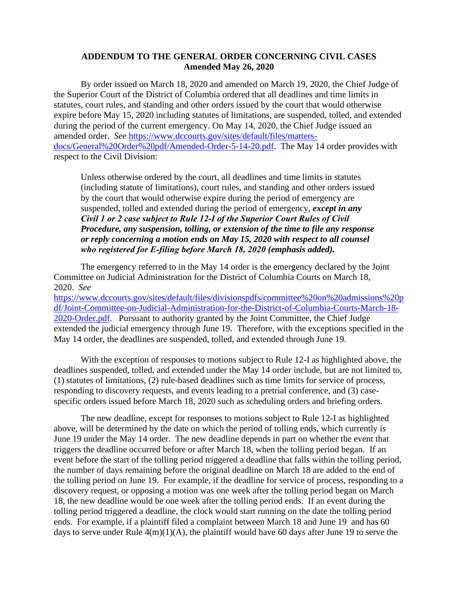## **ADDENDUM TO THE GENERAL ORDER CONCERNING CIVIL CASES Amended May 26, 2020**

By order issued on March 18, 2020 and amended on March 19, 2020, the Chief Judge of the Superior Court of the District of Columbia ordered that all deadlines and time limits in statutes, court rules, and standing and other orders issued by the court that would otherwise expire before May 15, 2020 including statutes of limitations, are suspended, tolled, and extended during the period of the current emergency. On May 14, 2020, the Chief Judge issued an amended order. *See* [https://www.dccourts.gov/sites/default/files/matters](https://www.dccourts.gov/sites/default/files/matters-docs/General%20Order%20pdf/Amended-Order-5-14-20.pdf)[docs/General%20Order%20pdf/Amended-Order-5-14-20.pdf.](https://www.dccourts.gov/sites/default/files/matters-docs/General%20Order%20pdf/Amended-Order-5-14-20.pdf) The May 14 order provides with respect to the Civil Division:

Unless otherwise ordered by the court, all deadlines and time limits in statutes (including statute of limitations), court rules, and standing and other orders issued by the court that would otherwise expire during the period of emergency are suspended, tolled and extended during the period of emergency, *except in any Civil 1 or 2 case subject to Rule 12‐I of the Superior Court Rules of Civil Procedure, any suspension, tolling, or extension of the time to file any response or reply concerning a motion ends on May 15, 2020 with respect to all counsel who registered for E‐filing before March 18, 2020 (emphasis added).*

The emergency referred to in the May 14 order is the emergency declared by the Joint Committee on Judicial Administration for the District of Columbia Courts on March 18, 2020. *See*

[https://www.dccourts.gov/sites/default/files/divisionspdfs/committee%20on%20admissions%20p](https://www.dccourts.gov/sites/default/files/divisionspdfs/committee%20on%20admissions%20pdf/Joint-Committee-on-Judicial-Administration-for-the-District-of-Columbia-Courts-March-18-2020-Order.pdf) [df/Joint-Committee-on-Judicial-Administration-for-the-District-of-Columbia-Courts-March-18-](https://www.dccourts.gov/sites/default/files/divisionspdfs/committee%20on%20admissions%20pdf/Joint-Committee-on-Judicial-Administration-for-the-District-of-Columbia-Courts-March-18-2020-Order.pdf) [2020-Order.pdf.](https://www.dccourts.gov/sites/default/files/divisionspdfs/committee%20on%20admissions%20pdf/Joint-Committee-on-Judicial-Administration-for-the-District-of-Columbia-Courts-March-18-2020-Order.pdf) Pursuant to authority granted by the Joint Committee, the Chief Judge extended the judicial emergency through June 19. Therefore, with the exceptions specified in the May 14 order, the deadlines are suspended, tolled, and extended through June 19.

With the exception of responses to motions subject to Rule 12-I as highlighted above, the deadlines suspended, tolled, and extended under the May 14 order include, but are not limited to, (1) statutes of limitations, (2) rule-based deadlines such as time limits for service of process, responding to discovery requests, and events leading to a pretrial conference, and (3) casespecific orders issued before March 18, 2020 such as scheduling orders and briefing orders.

The new deadline, except for responses to motions subject to Rule 12-I as highlighted above, will be determined by the date on which the period of tolling ends, which currently is June 19 under the May 14 order. The new deadline depends in part on whether the event that triggers the deadline occurred before or after March 18, when the tolling period began. If an event before the start of the tolling period triggered a deadline that falls within the tolling period, the number of days remaining before the original deadline on March 18 are added to the end of the tolling period on June 19. For example, if the deadline for service of process, responding to a discovery request, or opposing a motion was one week after the tolling period began on March 18, the new deadline would be one week after the tolling period ends. If an event during the tolling period triggered a deadline, the clock would start running on the date the tolling period ends. For example, if a plaintiff filed a complaint between March 18 and June 19 and has 60 days to serve under Rule  $4(m)(1)(A)$ , the plaintiff would have 60 days after June 19 to serve the